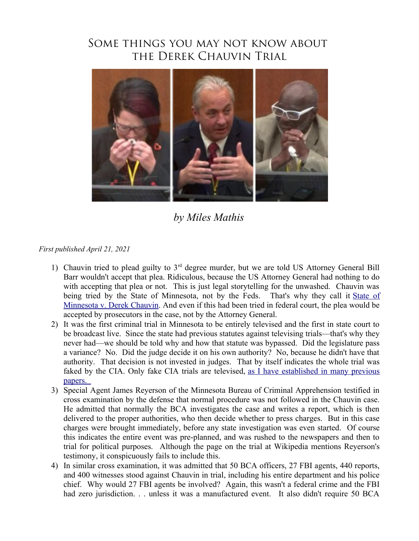## Some things you may not know about the Derek Chauvin Trial



*by Miles Mathis*

*First published April 21, 2021*

- 1) Chauvin tried to plead guilty to  $3<sup>rd</sup>$  degree murder, but we are told US Attorney General Bill Barr wouldn't accept that plea. Ridiculous, because the US Attorney General had nothing to do with accepting that plea or not. This is just legal storytelling for the unwashed. Chauvin was being tried by the [State of](https://en.wikipedia.org/wiki/State_v._Chauvin) Minnesota, not by the Feds. That's why they call it State of [Minnesota v. Derek Chauvin.](https://en.wikipedia.org/wiki/State_v._Chauvin) And even if this had been tried in federal court, the plea would be accepted by prosecutors in the case, not by the Attorney General.
- 2) It was the first criminal trial in Minnesota to be entirely televised and the first in state court to be broadcast live. Since the state had previous statutes against televising trials—that's why they never had—we should be told why and how that statute was bypassed. Did the legislature pass a variance? No. Did the judge decide it on his own authority? No, because he didn't have that authority. That decision is not invested in judges. That by itself indicates the whole trial was faked by the CIA. Only fake CIA trials are televised, [as I have established in many previous](http://mileswmathis.com/oj.pdf) [papers.](http://mileswmathis.com/oj.pdf)
- 3) Special Agent James Reyerson of the Minnesota Bureau of Criminal Apprehension testified in cross examination by the defense that normal procedure was not followed in the Chauvin case. He admitted that normally the BCA investigates the case and writes a report, which is then delivered to the proper authorities, who then decide whether to press charges. But in this case charges were brought immediately, before any state investigation was even started. Of course this indicates the entire event was pre-planned, and was rushed to the newspapers and then to trial for political purposes. Although the page on the trial at Wikipedia mentions Reyerson's testimony, it conspicuously fails to include this.
- 4) In similar cross examination, it was admitted that 50 BCA officers, 27 FBI agents, 440 reports, and 400 witnesses stood against Chauvin in trial, including his entire department and his police chief. Why would 27 FBI agents be involved? Again, this wasn't a federal crime and the FBI had zero jurisdiction. . . unless it was a manufactured event. It also didn't require 50 BCA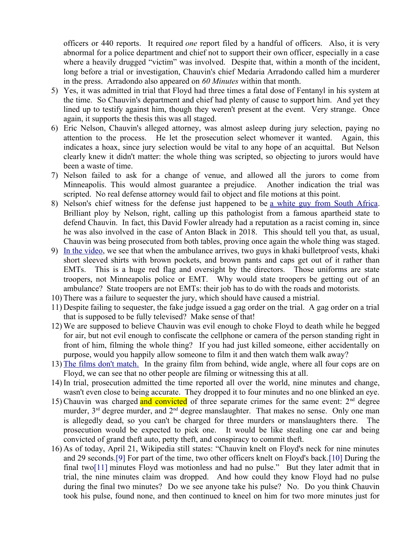officers or 440 reports. It required *one* report filed by a handful of officers. Also, it is very abnormal for a police department and chief not to support their own officer, especially in a case where a heavily drugged "victim" was involved. Despite that, within a month of the incident, long before a trial or investigation, Chauvin's chief Medaria Arradondo called him a murderer in the press. Arradondo also appeared on *60 Minutes* within that month.

- 5) Yes, it was admitted in trial that Floyd had three times a fatal dose of Fentanyl in his system at the time. So Chauvin's department and chief had plenty of cause to support him. And yet they lined up to testify against him, though they weren't present at the event. Very strange. Once again, it supports the thesis this was all staged.
- 6) Eric Nelson, Chauvin's alleged attorney, was almost asleep during jury selection, paying no attention to the process. He let the prosecution select whomever it wanted. Again, this indicates a hoax, since jury selection would be vital to any hope of an acquittal. But Nelson clearly knew it didn't matter: the whole thing was scripted, so objecting to jurors would have been a waste of time.
- 7) Nelson failed to ask for a change of venue, and allowed all the jurors to come from Minneapolis. This would almost guarantee a prejudice. Another indication the trial was scripted. No real defense attorney would fail to object and file motions at this point.
- 8) Nelson's chief witness for the defense just happened to be [a white guy from South Africa.](https://www.nbcnews.com/news/us-news/lackluster-performance-chauvin-defense-leaves-experts-debating-trial-s-outcome-n1264327) Brilliant ploy by Nelson, right, calling up this pathologist from a famous apartheid state to defend Chauvin. In fact, this David Fowler already had a reputation as a racist coming in, since he was also involved in the case of Anton Black in 2018. This should tell you that, as usual, Chauvin was being prosecuted from both tables, proving once again the whole thing was staged.
- 9) [In the video,](https://www.bitchute.com/video/1t6q87vXoVE5/) we see that when the ambulance arrives, two guys in khaki bulletproof vests, khaki short sleeved shirts with brown pockets, and brown pants and caps get out of it rather than EMTs. This is a huge red flag and oversight by the directors. Those uniforms are state troopers, not Minneapolis police or EMT. Why would state troopers be getting out of an ambulance? State troopers are not EMTs: their job has to do with the roads and motorists.
- 10) There was a failure to sequester the jury, which should have caused a mistrial.
- 11) Despite failing to sequester, the fake judge issued a gag order on the trial. A gag order on a trial that is supposed to be fully televised? Make sense of that!
- 12) We are supposed to believe Chauvin was evil enough to choke Floyd to death while he begged for air, but not evil enough to confiscate the cellphone or camera of the person standing right in front of him, filming the whole thing? If you had just killed someone, either accidentally on purpose, would you happily allow someone to film it and then watch them walk away?
- 13) [The films don't match.](https://www.bitchute.com/video/qwIVVOAwjebl/) In the grainy film from behind, wide angle, where all four cops are on Floyd, we can see that no other people are filming or witnessing this at all.
- 14) In trial, prosecution admitted the time reported all over the world, nine minutes and change, wasn't even close to being accurate. They dropped it to four minutes and no one blinked an eye.
- 15) Chauvin was charged and convicted of three separate crimes for the same event:  $2<sup>nd</sup>$  degree murder, 3<sup>rd</sup> degree murder, and 2<sup>nd</sup> degree manslaughter. That makes no sense. Only one man is allegedly dead, so you can't be charged for three murders or manslaughters there. The prosecution would be expected to pick one. It would be like stealing one car and being convicted of grand theft auto, petty theft, and conspiracy to commit theft.
- 16) As of today, April 21, Wikipedia still states: "Chauvin knelt on Floyd's neck for nine minutes and 29 seconds[.\[9\]](https://en.wikipedia.org/wiki/State_v._Chauvin#cite_note-9) For part of the time, two other officers knelt on Floyd's back[.\[10\]](https://en.wikipedia.org/wiki/State_v._Chauvin#cite_note-10) During the final tw[o\[11\]](https://en.wikipedia.org/wiki/State_v._Chauvin#cite_note-11) minutes Floyd was motionless and had no pulse." But they later admit that in trial, the nine minutes claim was dropped. And how could they know Floyd had no pulse during the final two minutes? Do we see anyone take his pulse? No. Do you think Chauvin took his pulse, found none, and then continued to kneel on him for two more minutes just for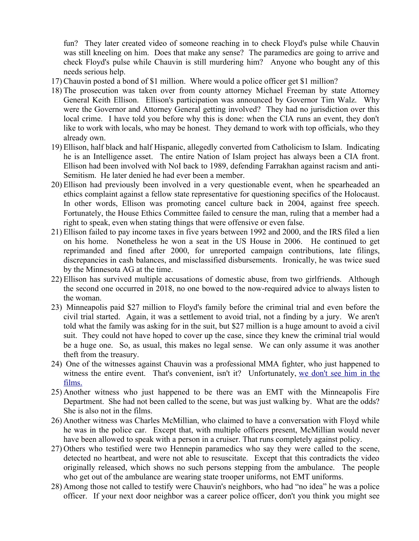fun? They later created video of someone reaching in to check Floyd's pulse while Chauvin was still kneeling on him. Does that make any sense? The paramedics are going to arrive and check Floyd's pulse while Chauvin is still murdering him? Anyone who bought any of this needs serious help.

- 17) Chauvin posted a bond of \$1 million. Where would a police officer get \$1 million?
- 18) The prosecution was taken over from county attorney Michael Freeman by state Attorney General Keith Ellison. Ellison's participation was announced by Governor Tim Walz. Why were the Governor and Attorney General getting involved? They had no jurisdiction over this local crime. I have told you before why this is done: when the CIA runs an event, they don't like to work with locals, who may be honest. They demand to work with top officials, who they already own.
- 19) Ellison, half black and half Hispanic, allegedly converted from Catholicism to Islam. Indicating he is an Intelligence asset. The entire Nation of Islam project has always been a CIA front. Ellison had been involved with NoI back to 1989, defending Farrakhan against racism and anti-Semitism. He later denied he had ever been a member.
- 20) Ellison had previously been involved in a very questionable event, when he spearheaded an ethics complaint against a fellow state representative for questioning specifics of the Holocaust. In other words, Ellison was promoting cancel culture back in 2004, against free speech. Fortunately, the House Ethics Committee failed to censure the man, ruling that a member had a right to speak, even when stating things that were offensive or even false.
- 21) Ellison failed to pay income taxes in five years between 1992 and 2000, and the IRS filed a lien on his home. Nonetheless he won a seat in the US House in 2006. He continued to get reprimanded and fined after 2000, for unreported campaign contributions, late filings, discrepancies in cash balances, and misclassified disbursements. Ironically, he was twice sued by the Minnesota AG at the time.
- 22) Ellison has survived multiple accusations of domestic abuse, from two girlfriends. Although the second one occurred in 2018, no one bowed to the now-required advice to always listen to the woman.
- 23) Minneapolis paid \$27 million to Floyd's family before the criminal trial and even before the civil trial started. Again, it was a settlement to avoid trial, not a finding by a jury. We aren't told what the family was asking for in the suit, but \$27 million is a huge amount to avoid a civil suit. They could not have hoped to cover up the case, since they knew the criminal trial would be a huge one. So, as usual, this makes no legal sense. We can only assume it was another theft from the treasury.
- 24) One of the witnesses against Chauvin was a professional MMA fighter, who just happened to witness the entire event. That's convenient, isn't it? Unfortunately, [we don't see him in the](https://www.bitchute.com/video/qwIVVOAwjebl/) [films.](https://www.bitchute.com/video/qwIVVOAwjebl/)
- 25) Another witness who just happened to be there was an EMT with the Minneapolis Fire Department. She had not been called to the scene, but was just walking by. What are the odds? She is also not in the films.
- 26) Another witness was Charles McMillian, who claimed to have a conversation with Floyd while he was in the police car. Except that, with multiple officers present, McMillian would never have been allowed to speak with a person in a cruiser. That runs completely against policy.
- 27) Others who testified were two Hennepin paramedics who say they were called to the scene, detected no heartbeat, and were not able to resuscitate. Except that this contradicts the video originally released, which shows no such persons stepping from the ambulance. The people who get out of the ambulance are wearing state trooper uniforms, not EMT uniforms.
- 28) Among those not called to testify were Chauvin's neighbors, who had "no idea" he was a police officer. If your next door neighbor was a career police officer, don't you think you might see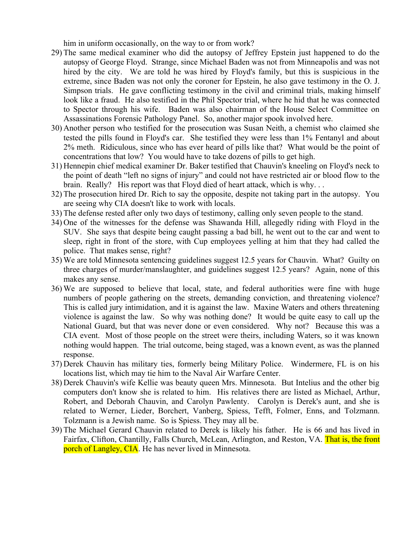him in uniform occasionally, on the way to or from work?

- 29) The same medical examiner who did the autopsy of Jeffrey Epstein just happened to do the autopsy of George Floyd. Strange, since Michael Baden was not from Minneapolis and was not hired by the city. We are told he was hired by Floyd's family, but this is suspicious in the extreme, since Baden was not only the coroner for Epstein, he also gave testimony in the O. J. Simpson trials. He gave conflicting testimony in the civil and criminal trials, making himself look like a fraud. He also testified in the Phil Spector trial, where he hid that he was connected to Spector through his wife. Baden was also chairman of the House Select Committee on Assassinations Forensic Pathology Panel. So, another major spook involved here.
- 30) Another person who testified for the prosecution was Susan Neith, a chemist who claimed she tested the pills found in Floyd's car. She testified they were less than 1% Fentanyl and about 2% meth. Ridiculous, since who has ever heard of pills like that? What would be the point of concentrations that low? You would have to take dozens of pills to get high.
- 31) Hennepin chief medical examiner Dr. Baker testified that Chauvin's kneeling on Floyd's neck to the point of death "left no signs of injury" and could not have restricted air or blood flow to the brain. Really? His report was that Floyd died of heart attack, which is why. . .
- 32) The prosecution hired Dr. Rich to say the opposite, despite not taking part in the autopsy. You are seeing why CIA doesn't like to work with locals.
- 33) The defense rested after only two days of testimony, calling only seven people to the stand.
- 34) One of the witnesses for the defense was Shawanda Hill, allegedly riding with Floyd in the SUV. She says that despite being caught passing a bad bill, he went out to the car and went to sleep, right in front of the store, with Cup employees yelling at him that they had called the police. That makes sense, right?
- 35) We are told Minnesota sentencing guidelines suggest 12.5 years for Chauvin. What? Guilty on three charges of murder/manslaughter, and guidelines suggest 12.5 years? Again, none of this makes any sense.
- 36) We are supposed to believe that local, state, and federal authorities were fine with huge numbers of people gathering on the streets, demanding conviction, and threatening violence? This is called jury intimidation, and it is against the law. Maxine Waters and others threatening violence is against the law. So why was nothing done? It would be quite easy to call up the National Guard, but that was never done or even considered. Why not? Because this was a CIA event. Most of those people on the street were theirs, including Waters, so it was known nothing would happen. The trial outcome, being staged, was a known event, as was the planned response.
- 37) Derek Chauvin has military ties, formerly being Military Police. Windermere, FL is on his locations list, which may tie him to the Naval Air Warfare Center.
- 38) Derek Chauvin's wife Kellie was beauty queen Mrs. Minnesota. But Intelius and the other big computers don't know she is related to him. His relatives there are listed as Michael, Arthur, Robert, and Deborah Chauvin, and Carolyn Pawlenty. Carolyn is Derek's aunt, and she is related to Werner, Lieder, Borchert, Vanberg, Spiess, Tefft, Folmer, Enns, and Tolzmann. Tolzmann is a Jewish name. So is Spiess. They may all be.
- 39) The Michael Gerard Chauvin related to Derek is likely his father. He is 66 and has lived in Fairfax, Clifton, Chantilly, Falls Church, McLean, Arlington, and Reston, VA. That is, the front porch of Langley, CIA. He has never lived in Minnesota.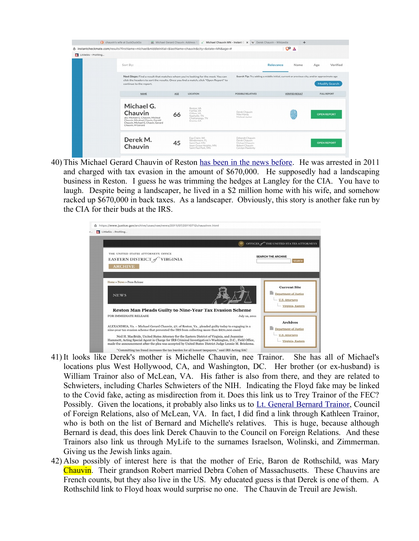|                       | C chauvin's wife at DuckDuckGo<br>m Michael Gerard Chauvin: Address 12<br>ñ instantcheckmate.com/results?firstName=michael&middleInitial=&lastName=chauvin&city=&state=MN&age=#                     |     | ∡                                                                                                    | Michael Chauvin MN - Instant C X W Derek Chauvin - Wikipedia                                                      | $+$<br>$\mathbb{C}^{\mathbf{p}}$ $\Delta$ |                    |  |
|-----------------------|-----------------------------------------------------------------------------------------------------------------------------------------------------------------------------------------------------|-----|------------------------------------------------------------------------------------------------------|-------------------------------------------------------------------------------------------------------------------|-------------------------------------------|--------------------|--|
| LittleSis - Profiling |                                                                                                                                                                                                     |     |                                                                                                      |                                                                                                                   |                                           |                    |  |
|                       | Sort By:                                                                                                                                                                                            |     |                                                                                                      |                                                                                                                   | Relevance<br>Name                         | Verified<br>Age    |  |
|                       | Next Steps: Find a result that matches whom you're looking for the most. You can<br>click the headers to sort the results. Once you find a match, click "Open Report" to<br>continue to the report. |     |                                                                                                      | Search Tip: Try adding a middle initial, current or previous city, and/or approximate age<br><b>Modify Search</b> |                                           |                    |  |
|                       | <b>NAME</b>                                                                                                                                                                                         | AGE | LOCATION                                                                                             | POSSIBLE RELATIVES                                                                                                | <b>VERIFIED RESULT</b>                    | <b>FULL REPORT</b> |  |
|                       | Michael G.<br>Chauvin<br>aka: Michael G. Chauvin, Micheal<br>Chauvin, Micahael Chavin, Gerald<br>Chauvin, Michael G. Chavin, Gerard<br>Chauvin, M Gerard                                            | 66  | Reston, VA<br>Fairfax, VA<br>Clifton VA<br>Nashville, TN<br>Chattanooga, TN<br>Encino, CA            | Derek Chauvin<br>Mike Hardy<br>Micheal Junior                                                                     |                                           | <b>OPEN REPORT</b> |  |
|                       | Derek M.<br>Chauvin                                                                                                                                                                                 | 45  | Eau Claire, WI<br>Windermere, FL<br>Saint Paul, MN<br>Inver Grove Heights, MN<br>Saint Paul Park, MN | Deborah Chauvin<br>Derek Chauvin<br>Michael Chauvin<br>Robert Chauvin<br>Carolyn Pawlenty                         |                                           | <b>OPEN REPORT</b> |  |

40) This Michael Gerard Chauvin of Reston [has been in the news before.](https://www.justice.gov/archive/usao/vae/news/2011/07/20110712chauvinnr.html) He was arrested in 2011 and charged with tax evasion in the amount of \$670,000. He supposedly had a landscaping business in Reston. I guess he was trimming the hedges at Langley for the CIA. You have to laugh. Despite being a landscaper, he lived in a \$2 million home with his wife, and somehow racked up \$670,000 in back taxes. As a landscaper. Obviously, this story is another fake run by the CIA for their buds at the IRS.

|                                                                                                                                                                                                                                                                                                                                                                                                                                                                                                                          | OFFICES STHE UNITED STATES ATTORNEYS                                                            |  |  |  |
|--------------------------------------------------------------------------------------------------------------------------------------------------------------------------------------------------------------------------------------------------------------------------------------------------------------------------------------------------------------------------------------------------------------------------------------------------------------------------------------------------------------------------|-------------------------------------------------------------------------------------------------|--|--|--|
| THE UNITED STATES ATTORNEYS OFFICE<br>EASTERN DISTRICT of VIRGINIA<br><b>ARCHIVE</b>                                                                                                                                                                                                                                                                                                                                                                                                                                     | <b>SEARCH THE ARCHIVE</b><br><b>SEARCH</b>                                                      |  |  |  |
| Home » News » Press Release<br><b>NEWS</b>                                                                                                                                                                                                                                                                                                                                                                                                                                                                               | <b>Current Site</b><br><b>Department of Justice</b><br>U.S. Attorneys<br>- Virginia, Eastern    |  |  |  |
| Reston Man Pleads Guilty to Nine-Year Tax Evasion Scheme                                                                                                                                                                                                                                                                                                                                                                                                                                                                 |                                                                                                 |  |  |  |
| FOR IMMEDIATE RELEASE                                                                                                                                                                                                                                                                                                                                                                                                                                                                                                    | July 12, 2011                                                                                   |  |  |  |
| ALEXANDRIA, Va. - Michael Gerard Chauvin, 57, of Reston, Va., pleaded guilty today to engaging in a<br>nine-year tax evasion scheme that prevented the IRS from collecting more than \$670,000 owed.<br>Neil H. MacBride, United States Attorney for the Eastern District of Virginia, and Jeannine<br>Hammett, Acting Special Agent in Charge for IRS Criminal Investigation's Washington, D.C., Field Office,<br>made the announcement after the plea was accepted by United States District Judge Leonie M. Brinkema. | <b>Archives</b><br><b>Department of Justice</b><br><b>U.S. Attorneys</b><br>- Virginia, Eastern |  |  |  |

- 41) It looks like Derek's mother is Michelle Chauvin, nee Trainor. She has all of Michael's locations plus West Hollywood, CA, and Washington, DC. Her brother (or ex-husband) is William Trainor also of McLean, VA. His father is also from there, and they are related to Schwieters, including Charles Schwieters of the NIH. Indicating the Floyd fake may be linked to the Covid fake, acting as misdirection from it. Does this link us to Trey Trainor of the FEC? Possibly. Given the locations, it probably also links us to [Lt. General Bernard Trainor,](https://en.wikipedia.org/wiki/Bernard_E._Trainor) Council of Foreign Relations, also of McLean, VA. In fact, I did find a link through Kathleen Trainor, who is both on the list of Bernard and Michelle's relatives. This is huge, because although Bernard is dead, this does link Derek Chauvin to the Council on Foreign Relations. And these Trainors also link us through MyLife to the surnames Israelson, Wolinski, and Zimmerman. Giving us the Jewish links again.
- 42) Also possibly of interest here is that the mother of Eric, Baron de Rothschild, was Mary Chauvin. Their grandson Robert married Debra Cohen of Massachusetts. These Chauvins are French counts, but they also live in the US. My educated guess is that Derek is one of them. A Rothschild link to Floyd hoax would surprise no one. The Chauvin de Treuil are Jewish.